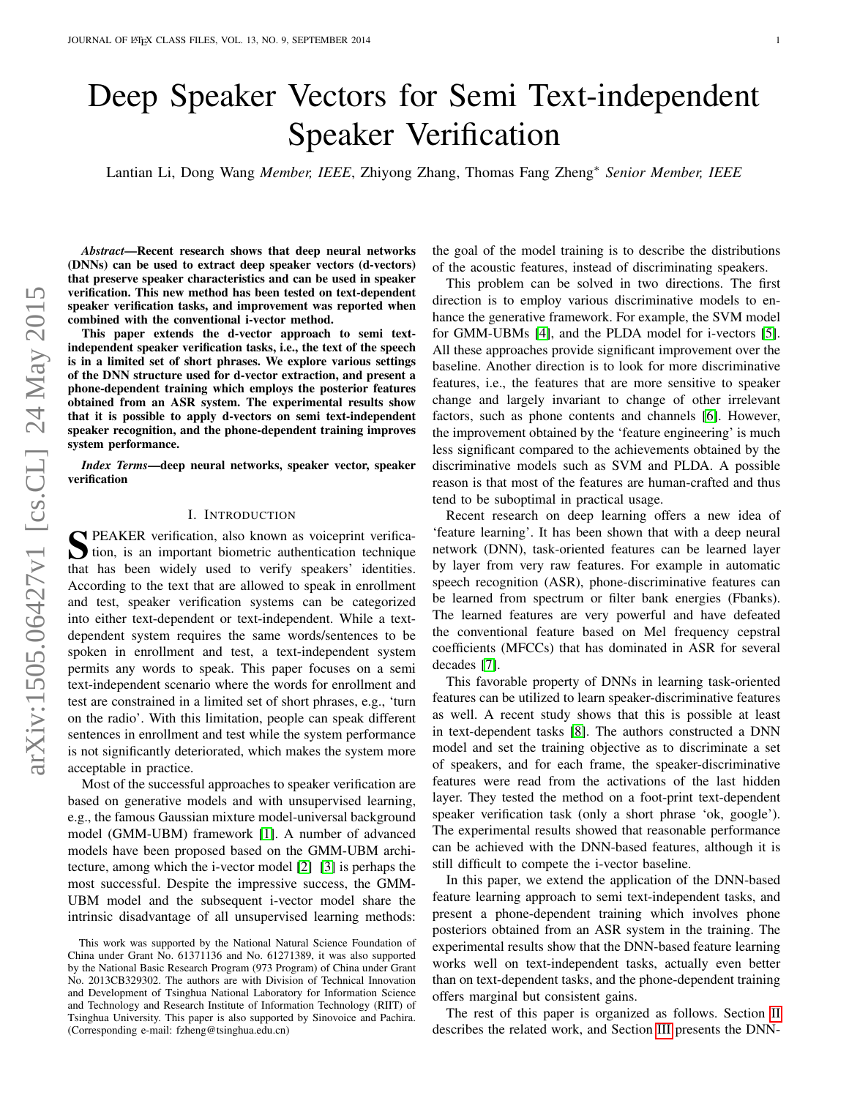# Deep Speaker Vectors for Semi Text-independent Speaker Verification

Lantian Li, Dong Wang *Member, IEEE*, Zhiyong Zhang, Thomas Fang Zheng<sup>∗</sup> *Senior Member, IEEE*

*Abstract*—Recent research shows that deep neural networks (DNNs) can be used to extract deep speaker vectors (d-vectors) that preserve speaker characteristics and can be used in speaker verification. This new method has been tested on text-dependent speaker verification tasks, and improvement was reported when combined with the conventional i-vector method.

This paper extends the d-vector approach to semi textindependent speaker verification tasks, i.e., the text of the speech is in a limited set of short phrases. We explore various settings of the DNN structure used for d-vector extraction, and present a phone-dependent training which employs the posterior features obtained from an ASR system. The experimental results show that it is possible to apply d-vectors on semi text-independent speaker recognition, and the phone-dependent training improves system performance.

*Index Terms*—deep neural networks, speaker vector, speaker verification

#### I. INTRODUCTION

S PEAKER verification, also known as voiceprint verifica-<br>tion, is an important biometric authentication technique tion, is an important biometric authentication technique that has been widely used to verify speakers' identities. According to the text that are allowed to speak in enrollment and test, speaker verification systems can be categorized into either text-dependent or text-independent. While a textdependent system requires the same words/sentences to be spoken in enrollment and test, a text-independent system permits any words to speak. This paper focuses on a semi text-independent scenario where the words for enrollment and test are constrained in a limited set of short phrases, e.g., 'turn on the radio'. With this limitation, people can speak different sentences in enrollment and test while the system performance is not significantly deteriorated, which makes the system more acceptable in practice.

Most of the successful approaches to speaker verification are based on generative models and with unsupervised learning, e.g., the famous Gaussian mixture model-universal background model (GMM-UBM) framework [\[1\]](#page-4-0). A number of advanced models have been proposed based on the GMM-UBM architecture, among which the i-vector model [\[2\]](#page-4-1) [\[3\]](#page-4-2) is perhaps the most successful. Despite the impressive success, the GMM-UBM model and the subsequent i-vector model share the intrinsic disadvantage of all unsupervised learning methods: the goal of the model training is to describe the distributions of the acoustic features, instead of discriminating speakers.

This problem can be solved in two directions. The first direction is to employ various discriminative models to enhance the generative framework. For example, the SVM model for GMM-UBMs [\[4\]](#page-4-3), and the PLDA model for i-vectors [\[5\]](#page-4-4). All these approaches provide significant improvement over the baseline. Another direction is to look for more discriminative features, i.e., the features that are more sensitive to speaker change and largely invariant to change of other irrelevant factors, such as phone contents and channels [\[6\]](#page-4-5). However, the improvement obtained by the 'feature engineering' is much less significant compared to the achievements obtained by the discriminative models such as SVM and PLDA. A possible reason is that most of the features are human-crafted and thus tend to be suboptimal in practical usage.

Recent research on deep learning offers a new idea of 'feature learning'. It has been shown that with a deep neural network (DNN), task-oriented features can be learned layer by layer from very raw features. For example in automatic speech recognition (ASR), phone-discriminative features can be learned from spectrum or filter bank energies (Fbanks). The learned features are very powerful and have defeated the conventional feature based on Mel frequency cepstral coefficients (MFCCs) that has dominated in ASR for several decades [\[7\]](#page-4-6).

This favorable property of DNNs in learning task-oriented features can be utilized to learn speaker-discriminative features as well. A recent study shows that this is possible at least in text-dependent tasks [\[8\]](#page-4-7). The authors constructed a DNN model and set the training objective as to discriminate a set of speakers, and for each frame, the speaker-discriminative features were read from the activations of the last hidden layer. They tested the method on a foot-print text-dependent speaker verification task (only a short phrase 'ok, google'). The experimental results showed that reasonable performance can be achieved with the DNN-based features, although it is still difficult to compete the i-vector baseline.

In this paper, we extend the application of the DNN-based feature learning approach to semi text-independent tasks, and present a phone-dependent training which involves phone posteriors obtained from an ASR system in the training. The experimental results show that the DNN-based feature learning works well on text-independent tasks, actually even better than on text-dependent tasks, and the phone-dependent training offers marginal but consistent gains.

The rest of this paper is organized as follows. Section [II](#page-1-0) describes the related work, and Section [III](#page-1-1) presents the DNN-

This work was supported by the National Natural Science Foundation of China under Grant No. 61371136 and No. 61271389, it was also supported by the National Basic Research Program (973 Program) of China under Grant No. 2013CB329302. The authors are with Division of Technical Innovation and Development of Tsinghua National Laboratory for Information Science and Technology and Research Institute of Information Technology (RIIT) of Tsinghua University. This paper is also supported by Sinovoice and Pachira. (Corresponding e-mail: fzheng@tsinghua.edu.cn)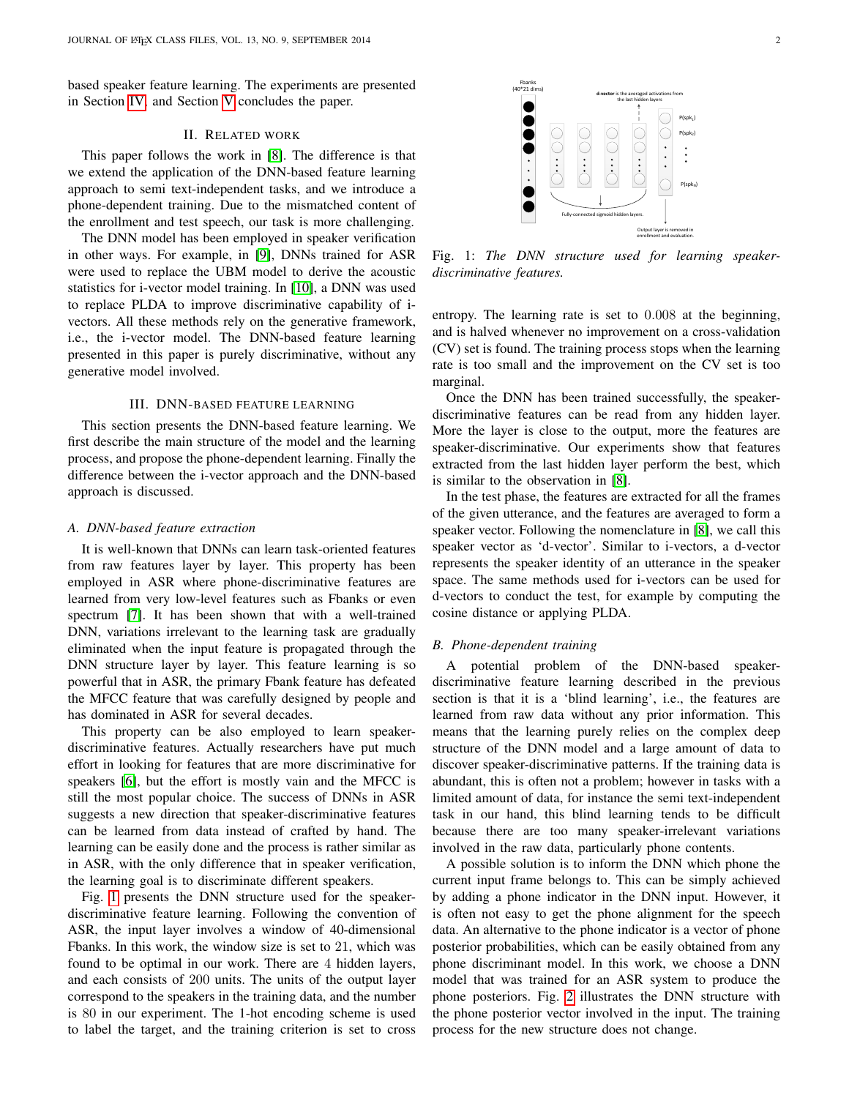based speaker feature learning. The experiments are presented in Section [IV,](#page-2-0) and Section [V](#page-3-0) concludes the paper.

# II. RELATED WORK

<span id="page-1-0"></span>This paper follows the work in [\[8\]](#page-4-7). The difference is that we extend the application of the DNN-based feature learning approach to semi text-independent tasks, and we introduce a phone-dependent training. Due to the mismatched content of the enrollment and test speech, our task is more challenging.

The DNN model has been employed in speaker verification in other ways. For example, in [\[9\]](#page-4-8), DNNs trained for ASR were used to replace the UBM model to derive the acoustic statistics for i-vector model training. In [\[10\]](#page-4-9), a DNN was used to replace PLDA to improve discriminative capability of ivectors. All these methods rely on the generative framework, i.e., the i-vector model. The DNN-based feature learning presented in this paper is purely discriminative, without any generative model involved.

# III. DNN-BASED FEATURE LEARNING

<span id="page-1-1"></span>This section presents the DNN-based feature learning. We first describe the main structure of the model and the learning process, and propose the phone-dependent learning. Finally the difference between the i-vector approach and the DNN-based approach is discussed.

## *A. DNN-based feature extraction*

It is well-known that DNNs can learn task-oriented features from raw features layer by layer. This property has been employed in ASR where phone-discriminative features are learned from very low-level features such as Fbanks or even spectrum [\[7\]](#page-4-6). It has been shown that with a well-trained DNN, variations irrelevant to the learning task are gradually eliminated when the input feature is propagated through the DNN structure layer by layer. This feature learning is so powerful that in ASR, the primary Fbank feature has defeated the MFCC feature that was carefully designed by people and has dominated in ASR for several decades.

This property can be also employed to learn speakerdiscriminative features. Actually researchers have put much effort in looking for features that are more discriminative for speakers [\[6\]](#page-4-5), but the effort is mostly vain and the MFCC is still the most popular choice. The success of DNNs in ASR suggests a new direction that speaker-discriminative features can be learned from data instead of crafted by hand. The learning can be easily done and the process is rather similar as in ASR, with the only difference that in speaker verification, the learning goal is to discriminate different speakers.

Fig. [1](#page-1-2) presents the DNN structure used for the speakerdiscriminative feature learning. Following the convention of ASR, the input layer involves a window of 40-dimensional Fbanks. In this work, the window size is set to 21, which was found to be optimal in our work. There are 4 hidden layers, and each consists of 200 units. The units of the output layer correspond to the speakers in the training data, and the number is 80 in our experiment. The 1-hot encoding scheme is used to label the target, and the training criterion is set to cross

<span id="page-1-2"></span>

Fig. 1: *The DNN structure used for learning speakerdiscriminative features.*

entropy. The learning rate is set to 0.008 at the beginning, and is halved whenever no improvement on a cross-validation (CV) set is found. The training process stops when the learning rate is too small and the improvement on the CV set is too marginal.

Once the DNN has been trained successfully, the speakerdiscriminative features can be read from any hidden layer. More the layer is close to the output, more the features are speaker-discriminative. Our experiments show that features extracted from the last hidden layer perform the best, which is similar to the observation in [\[8\]](#page-4-7).

In the test phase, the features are extracted for all the frames of the given utterance, and the features are averaged to form a speaker vector. Following the nomenclature in [\[8\]](#page-4-7), we call this speaker vector as 'd-vector'. Similar to i-vectors, a d-vector represents the speaker identity of an utterance in the speaker space. The same methods used for i-vectors can be used for d-vectors to conduct the test, for example by computing the cosine distance or applying PLDA.

#### *B. Phone-dependent training*

A potential problem of the DNN-based speakerdiscriminative feature learning described in the previous section is that it is a 'blind learning', i.e., the features are learned from raw data without any prior information. This means that the learning purely relies on the complex deep structure of the DNN model and a large amount of data to discover speaker-discriminative patterns. If the training data is abundant, this is often not a problem; however in tasks with a limited amount of data, for instance the semi text-independent task in our hand, this blind learning tends to be difficult because there are too many speaker-irrelevant variations involved in the raw data, particularly phone contents.

A possible solution is to inform the DNN which phone the current input frame belongs to. This can be simply achieved by adding a phone indicator in the DNN input. However, it is often not easy to get the phone alignment for the speech data. An alternative to the phone indicator is a vector of phone posterior probabilities, which can be easily obtained from any phone discriminant model. In this work, we choose a DNN model that was trained for an ASR system to produce the phone posteriors. Fig. [2](#page-2-1) illustrates the DNN structure with the phone posterior vector involved in the input. The training process for the new structure does not change.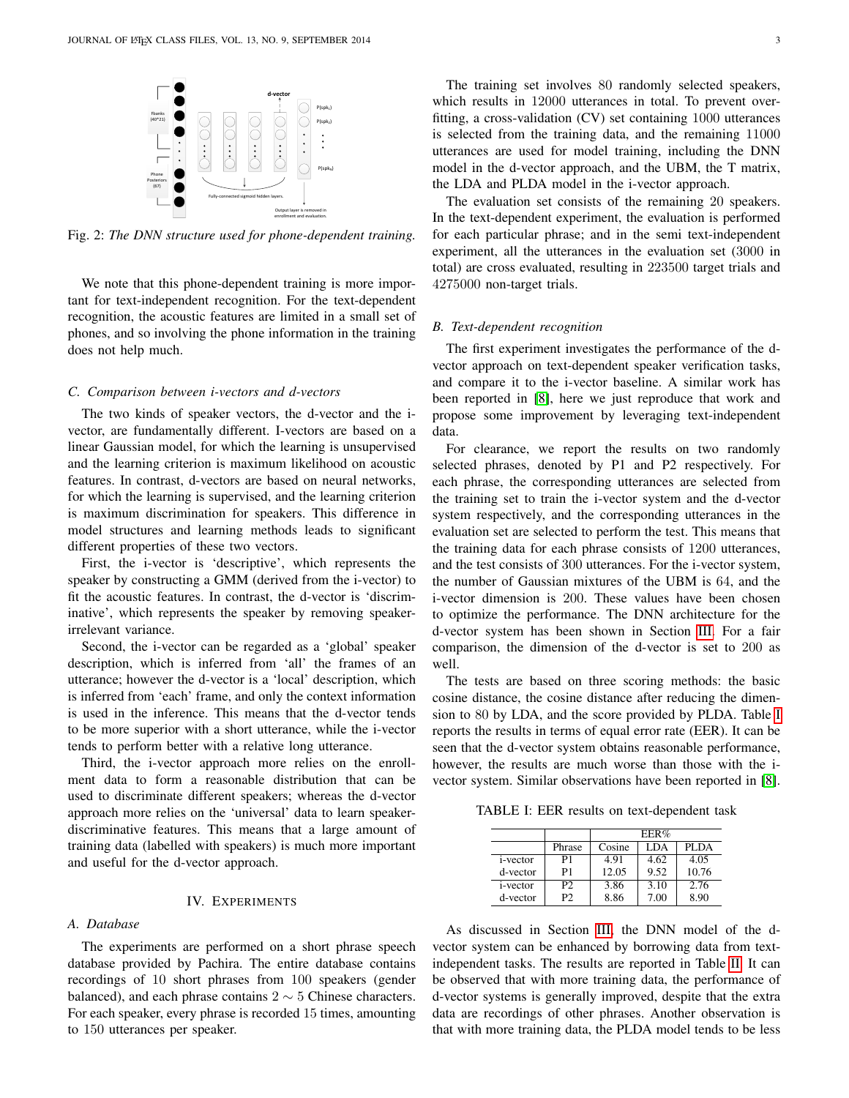<span id="page-2-1"></span>

Fig. 2: *The DNN structure used for phone-dependent training.*

We note that this phone-dependent training is more important for text-independent recognition. For the text-dependent recognition, the acoustic features are limited in a small set of phones, and so involving the phone information in the training does not help much.

## *C. Comparison between i-vectors and d-vectors*

The two kinds of speaker vectors, the d-vector and the ivector, are fundamentally different. I-vectors are based on a linear Gaussian model, for which the learning is unsupervised and the learning criterion is maximum likelihood on acoustic features. In contrast, d-vectors are based on neural networks, for which the learning is supervised, and the learning criterion is maximum discrimination for speakers. This difference in model structures and learning methods leads to significant different properties of these two vectors.

First, the i-vector is 'descriptive', which represents the speaker by constructing a GMM (derived from the i-vector) to fit the acoustic features. In contrast, the d-vector is 'discriminative', which represents the speaker by removing speakerirrelevant variance.

Second, the i-vector can be regarded as a 'global' speaker description, which is inferred from 'all' the frames of an utterance; however the d-vector is a 'local' description, which is inferred from 'each' frame, and only the context information is used in the inference. This means that the d-vector tends to be more superior with a short utterance, while the i-vector tends to perform better with a relative long utterance.

Third, the i-vector approach more relies on the enrollment data to form a reasonable distribution that can be used to discriminate different speakers; whereas the d-vector approach more relies on the 'universal' data to learn speakerdiscriminative features. This means that a large amount of training data (labelled with speakers) is much more important and useful for the d-vector approach.

## IV. EXPERIMENTS

#### <span id="page-2-0"></span>*A. Database*

The experiments are performed on a short phrase speech database provided by Pachira. The entire database contains recordings of 10 short phrases from 100 speakers (gender balanced), and each phrase contains  $2 \sim 5$  Chinese characters. For each speaker, every phrase is recorded 15 times, amounting to 150 utterances per speaker.

The training set involves 80 randomly selected speakers, which results in 12000 utterances in total. To prevent overfitting, a cross-validation (CV) set containing 1000 utterances is selected from the training data, and the remaining 11000 utterances are used for model training, including the DNN model in the d-vector approach, and the UBM, the T matrix, the LDA and PLDA model in the i-vector approach.

The evaluation set consists of the remaining 20 speakers. In the text-dependent experiment, the evaluation is performed for each particular phrase; and in the semi text-independent experiment, all the utterances in the evaluation set (3000 in total) are cross evaluated, resulting in 223500 target trials and 4275000 non-target trials.

## *B. Text-dependent recognition*

The first experiment investigates the performance of the dvector approach on text-dependent speaker verification tasks, and compare it to the i-vector baseline. A similar work has been reported in [\[8\]](#page-4-7), here we just reproduce that work and propose some improvement by leveraging text-independent data.

For clearance, we report the results on two randomly selected phrases, denoted by P1 and P2 respectively. For each phrase, the corresponding utterances are selected from the training set to train the i-vector system and the d-vector system respectively, and the corresponding utterances in the evaluation set are selected to perform the test. This means that the training data for each phrase consists of 1200 utterances, and the test consists of 300 utterances. For the i-vector system, the number of Gaussian mixtures of the UBM is 64, and the i-vector dimension is 200. These values have been chosen to optimize the performance. The DNN architecture for the d-vector system has been shown in Section [III.](#page-1-1) For a fair comparison, the dimension of the d-vector is set to 200 as well.

The tests are based on three scoring methods: the basic cosine distance, the cosine distance after reducing the dimension to 80 by LDA, and the score provided by PLDA. Table [I](#page-2-2) reports the results in terms of equal error rate (EER). It can be seen that the d-vector system obtains reasonable performance, however, the results are much worse than those with the ivector system. Similar observations have been reported in [\[8\]](#page-4-7).

<span id="page-2-2"></span>TABLE I: EER results on text-dependent task

|                  |                | EER%   |      |       |  |
|------------------|----------------|--------|------|-------|--|
|                  | Phrase         | Cosine | LDA. | PLDA  |  |
| <i>i</i> -vector | P1             | 4.91   | 4.62 | 4.05  |  |
| d-vector         | P1             | 12.05  | 9.52 | 10.76 |  |
| <i>i</i> -vector | P <sub>2</sub> | 3.86   | 3.10 | 2.76  |  |
| d-vector         | Р2             | 8.86   | 7.00 | 8.90  |  |

As discussed in Section [III,](#page-1-1) the DNN model of the dvector system can be enhanced by borrowing data from textindependent tasks. The results are reported in Table [II.](#page-3-1) It can be observed that with more training data, the performance of d-vector systems is generally improved, despite that the extra data are recordings of other phrases. Another observation is that with more training data, the PLDA model tends to be less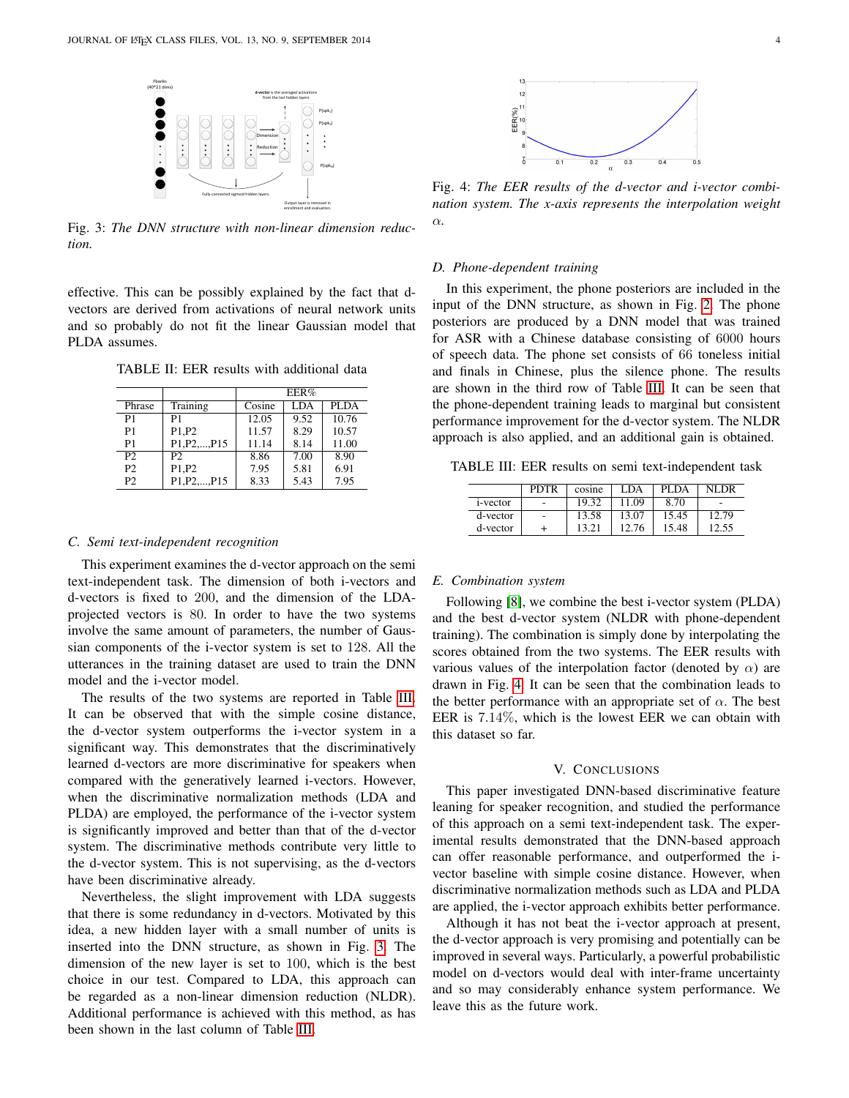<span id="page-3-3"></span>

Fig. 3: *The DNN structure with non-linear dimension reduction.*

effective. This can be possibly explained by the fact that dvectors are derived from activations of neural network units and so probably do not fit the linear Gaussian model that PLDA assumes.

<span id="page-3-1"></span>TABLE II: EER results with additional data

|                |                                                     | EER%   |            |       |  |
|----------------|-----------------------------------------------------|--------|------------|-------|--|
| Phrase         | Training                                            | Cosine | <b>LDA</b> | PLDA  |  |
| P <sub>1</sub> | P1                                                  | 12.05  | 9.52       | 10.76 |  |
| P <sub>1</sub> | P1, P2                                              | 11.57  | 8.29       | 10.57 |  |
| P <sub>1</sub> | P <sub>1</sub> , P <sub>2</sub> , , P <sub>15</sub> | 11.14  | 8.14       | 11.00 |  |
| P <sub>2</sub> | P2                                                  | 8.86   | 7.00       | 8.90  |  |
| P <sub>2</sub> | P1.P2                                               | 7.95   | 5.81       | 6.91  |  |
| P <sub>2</sub> | P <sub>1</sub> , P <sub>2</sub> , , P <sub>15</sub> | 8.33   | 5.43       | 7.95  |  |

#### *C. Semi text-independent recognition*

This experiment examines the d-vector approach on the semi text-independent task. The dimension of both i-vectors and d-vectors is fixed to 200, and the dimension of the LDAprojected vectors is 80. In order to have the two systems involve the same amount of parameters, the number of Gaussian components of the i-vector system is set to 128. All the utterances in the training dataset are used to train the DNN model and the i-vector model.

The results of the two systems are reported in Table [III.](#page-3-2) It can be observed that with the simple cosine distance, the d-vector system outperforms the i-vector system in a significant way. This demonstrates that the discriminatively learned d-vectors are more discriminative for speakers when compared with the generatively learned i-vectors. However, when the discriminative normalization methods (LDA and PLDA) are employed, the performance of the i-vector system is significantly improved and better than that of the d-vector system. The discriminative methods contribute very little to the d-vector system. This is not supervising, as the d-vectors have been discriminative already.

Nevertheless, the slight improvement with LDA suggests that there is some redundancy in d-vectors. Motivated by this idea, a new hidden layer with a small number of units is inserted into the DNN structure, as shown in Fig. [3.](#page-3-3) The dimension of the new layer is set to 100, which is the best choice in our test. Compared to LDA, this approach can be regarded as a non-linear dimension reduction (NLDR). Additional performance is achieved with this method, as has been shown in the last column of Table [III.](#page-3-2)

<span id="page-3-4"></span>

Fig. 4: *The EER results of the d-vector and i-vector combination system. The x-axis represents the interpolation weight* α*.*

#### *D. Phone-dependent training*

In this experiment, the phone posteriors are included in the input of the DNN structure, as shown in Fig. [2.](#page-2-1) The phone posteriors are produced by a DNN model that was trained for ASR with a Chinese database consisting of 6000 hours of speech data. The phone set consists of 66 toneless initial and finals in Chinese, plus the silence phone. The results are shown in the third row of Table [III.](#page-3-2) It can be seen that the phone-dependent training leads to marginal but consistent performance improvement for the d-vector system. The NLDR approach is also applied, and an additional gain is obtained.

<span id="page-3-2"></span>TABLE III: EER results on semi text-independent task

|          | <b>PDTR</b>              | cosine | LDA   | PLDA  | NI DR |
|----------|--------------------------|--------|-------|-------|-------|
| i-vector | $\overline{\phantom{a}}$ | 19.32  | 11.09 | 8.70  | ۰     |
| d-vector | $\overline{\phantom{a}}$ | 13.58  | 13.07 | 15.45 | 12.79 |
| d-vector |                          | 13.21  | 12.76 | 15.48 | 12.55 |

#### *E. Combination system*

Following [\[8\]](#page-4-7), we combine the best i-vector system (PLDA) and the best d-vector system (NLDR with phone-dependent training). The combination is simply done by interpolating the scores obtained from the two systems. The EER results with various values of the interpolation factor (denoted by  $\alpha$ ) are drawn in Fig. [4.](#page-3-4) It can be seen that the combination leads to the better performance with an appropriate set of  $\alpha$ . The best EER is 7.14%, which is the lowest EER we can obtain with this dataset so far.

#### V. CONCLUSIONS

<span id="page-3-0"></span>This paper investigated DNN-based discriminative feature leaning for speaker recognition, and studied the performance of this approach on a semi text-independent task. The experimental results demonstrated that the DNN-based approach can offer reasonable performance, and outperformed the ivector baseline with simple cosine distance. However, when discriminative normalization methods such as LDA and PLDA are applied, the i-vector approach exhibits better performance.

Although it has not beat the i-vector approach at present, the d-vector approach is very promising and potentially can be improved in several ways. Particularly, a powerful probabilistic model on d-vectors would deal with inter-frame uncertainty and so may considerably enhance system performance. We leave this as the future work.